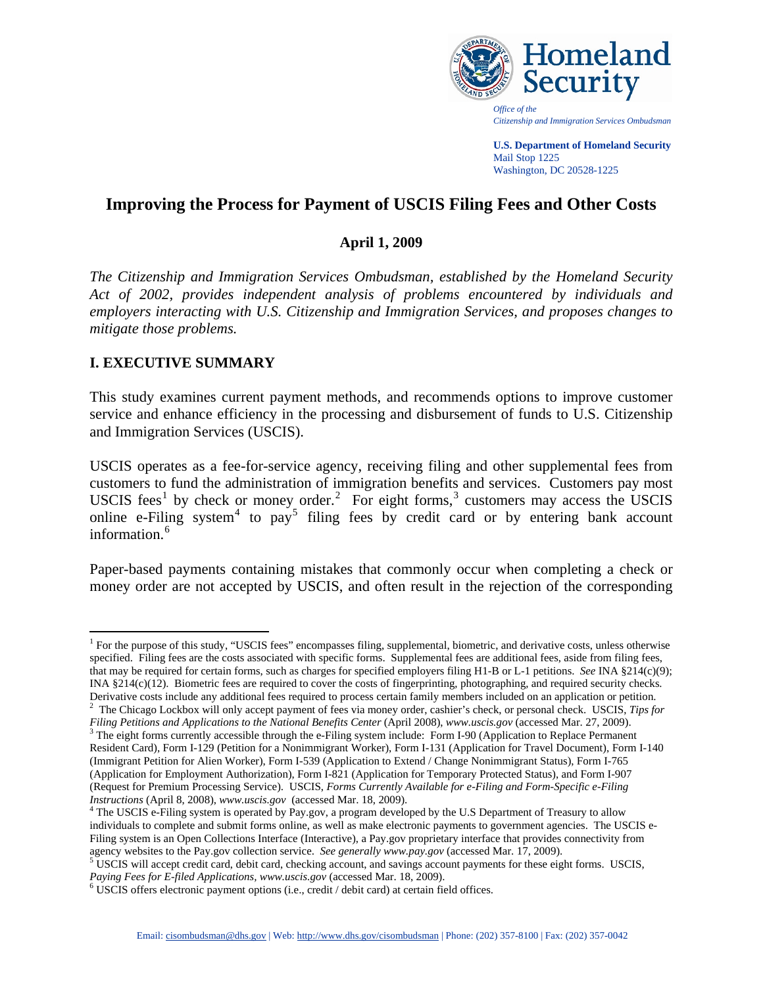

**U.S. Department of Homeland Security**  Mail Stop 1225 Washington, DC 20528-1225

# **Improving the Process for Payment of USCIS Filing Fees and Other Costs**

### **April 1, 2009**

*The Citizenship and Immigration Services Ombudsman, established by the Homeland Security Act of 2002, provides independent analysis of problems encountered by individuals and employers interacting with U.S. Citizenship and Immigration Services, and proposes changes to mitigate those problems.*

# **I. EXECUTIVE SUMMARY**

 $\overline{a}$ 

This study examines current payment methods, and recommends options to improve customer service and enhance efficiency in the processing and disbursement of funds to U.S. Citizenship and Immigration Services (USCIS).

USCIS operates as a fee-for-service agency, receiving filing and other supplemental fees from customers to fund the administration of immigration benefits and services. Customers pay most USCIS fees<sup>[1](#page-0-0)</sup> by check or money order.<sup>[2](#page-0-1)</sup> For eight forms,<sup>[3](#page-0-2)</sup> customers may access the USCIS online e-Filing system<sup>[4](#page-0-3)</sup> to pay<sup>[5](#page-0-4)</sup> filing fees by credit card or by entering bank account information.<sup>[6](#page-0-5)</sup>

Paper-based payments containing mistakes that commonly occur when completing a check or money order are not accepted by USCIS, and often result in the rejection of the corresponding

<span id="page-0-0"></span><sup>&</sup>lt;sup>1</sup> For the purpose of this study, "USCIS fees" encompasses filing, supplemental, biometric, and derivative costs, unless otherwise specified. Filing fees are the costs associated with specific forms. Supplemental fees are additional fees, aside from filing fees, that may be required for certain forms, such as charges for specified employers filing H1-B or L-1 petitions. *See* INA §214(c)(9); INA §214(c)(12). Biometric fees are required to cover the costs of fingerprinting, photographing, and required security checks. Derivative costs include any additional fees required to process certain family members included on an application or petition. <sup>2</sup>

<span id="page-0-1"></span><sup>&</sup>lt;sup>2</sup> The Chicago Lockbox will only accept payment of fees via money order, cashier's check, or personal check. USCIS, *Tips for FilingPetitions and Applications to the National Benefits Center* (April 2008), *www.uscis.gov* (accessed Mar. 27, 2009).

<span id="page-0-2"></span><sup>&</sup>lt;sup>3</sup> The eight forms currently accessible through the e-Filing system include: Form I-90 (Application to Replace Permanent Resident Card), Form I-129 (Petition for a Nonimmigrant Worker), Form I-131 (Application for Travel Document), Form I-140 (Immigrant Petition for Alien Worker), Form I-539 (Application to Extend / Change Nonimmigrant Status), Form I-765 (Application for Employment Authorization), Form I-821 (Application for Temporary Protected Status), and Form I-907 (Request for Premium Processing Service). USCIS, *Forms Currently Available for e-Filing and Form-Specific e-Filing Instructions* (April 8, 2008), *www.uscis.gov*(accessed Mar. 18, 2009). 4

<span id="page-0-3"></span><sup>&</sup>lt;sup>4</sup> The USCIS e-Filing system is operated by Pay.gov, a program developed by the U.S Department of Treasury to allow individuals to complete and submit forms online, as well as make electronic payments to government agencies. The USCIS e-Filing system is an Open Collections Interface (Interactive), a Pay.gov proprietary interface that provides connectivity from agency websites to the Pay.gov collection service. *See generally www.pay.gov* (accessed Mar. 17, 2009).<br><sup>5</sup> USCIS will accept credit card, debit card, checking account, and savings account payments for these eight forms.

<span id="page-0-4"></span>*Paying Fees for E-filed Applications, www.uscis.gov* (accessed Mar. 18, 2009).

<span id="page-0-5"></span>USCIS offers electronic payment options (i.e., credit / debit card) at certain field offices.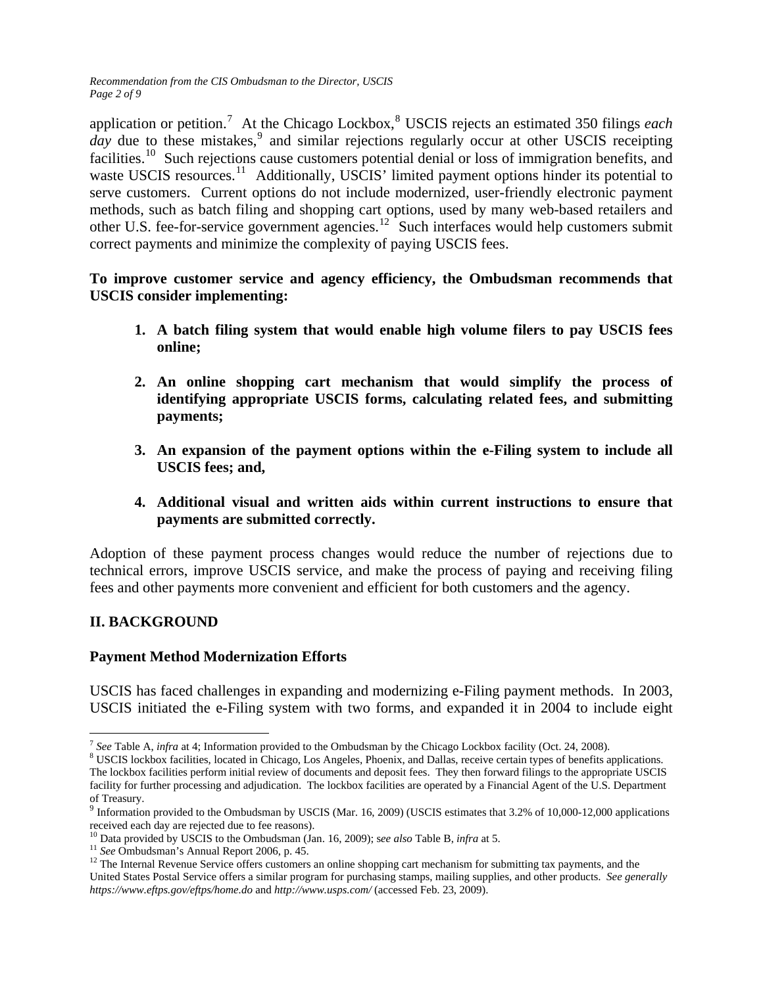*Recommendation from the CIS Ombudsman to the Director, USCIS Page 2 of 9* 

application or petition.<sup>[7](#page-1-0)</sup> At the Chicago Lockbox,<sup>[8](#page-1-1)</sup> USCIS rejects an estimated 350 filings *each* day due to these mistakes,<sup>[9](#page-1-2)</sup> and similar rejections regularly occur at other USCIS receipting facilities.<sup>[10](#page-1-3)</sup> Such rejections cause customers potential denial or loss of immigration benefits, and waste USCIS resources.<sup>[11](#page-1-4)</sup> Additionally, USCIS' limited payment options hinder its potential to serve customers. Current options do not include modernized, user-friendly electronic payment methods, such as batch filing and shopping cart options, used by many web-based retailers and other U.S. fee-for-service government agencies.[12](#page-1-5) Such interfaces would help customers submit correct payments and minimize the complexity of paying USCIS fees.

### **To improve customer service and agency efficiency, the Ombudsman recommends that USCIS consider implementing:**

- **1. A batch filing system that would enable high volume filers to pay USCIS fees online;**
- **2. An online shopping cart mechanism that would simplify the process of identifying appropriate USCIS forms, calculating related fees, and submitting payments;**
- **3. An expansion of the payment options within the e-Filing system to include all USCIS fees; and,**
- **4. Additional visual and written aids within current instructions to ensure that payments are submitted correctly.**

Adoption of these payment process changes would reduce the number of rejections due to technical errors, improve USCIS service, and make the process of paying and receiving filing fees and other payments more convenient and efficient for both customers and the agency.

# **II. BACKGROUND**

### **Payment Method Modernization Efforts**

USCIS has faced challenges in expanding and modernizing e-Filing payment methods. In 2003, USCIS initiated the e-Filing system with two forms, and expanded it in 2004 to include eight

 $\overline{a}$ 

<span id="page-1-0"></span><sup>&</sup>lt;sup>7</sup> See Table A, *infra* at 4; Information provided to the Ombudsman by the Chicago Lockbox facility (Oct. 24, 2008). <sup>8</sup> USCIS lockbox facilities located in Chicago Loc Angeles, Phoenix and Dellas require extent types of

<span id="page-1-1"></span>USCIS lockbox facilities, located in Chicago, Los Angeles, Phoenix, and Dallas, receive certain types of benefits applications. The lockbox facilities perform initial review of documents and deposit fees. They then forward filings to the appropriate USCIS facility for further processing and adjudication. The lockbox facilities are operated by a Financial Agent of the U.S. Department

of Treasury.

<span id="page-1-2"></span><sup>9</sup> Information provided to the Ombudsman by USCIS (Mar. 16, 2009) (USCIS estimates that 3.2% of 10,000-12,000 applications received each day are rejected due to fee reasons).<br><sup>10</sup> Data provided by USCIS to the Ombudsman (Jan. 16, 2009); see also Table B, infra at 5.

<span id="page-1-5"></span><span id="page-1-4"></span><span id="page-1-3"></span><sup>&</sup>lt;sup>11</sup> See Ombudsman's Annual Report 2006, p. 45.<br><sup>12</sup> The Internal Revenue Service offers customers an online shopping cart mechanism for submitting tax payments, and the United States Postal Service offers a similar program for purchasing stamps, mailing supplies, and other products. *See generally <https://www.eftps.gov/eftps/home.do>* and *<http://www.usps.com/>* (accessed Feb. 23, 2009).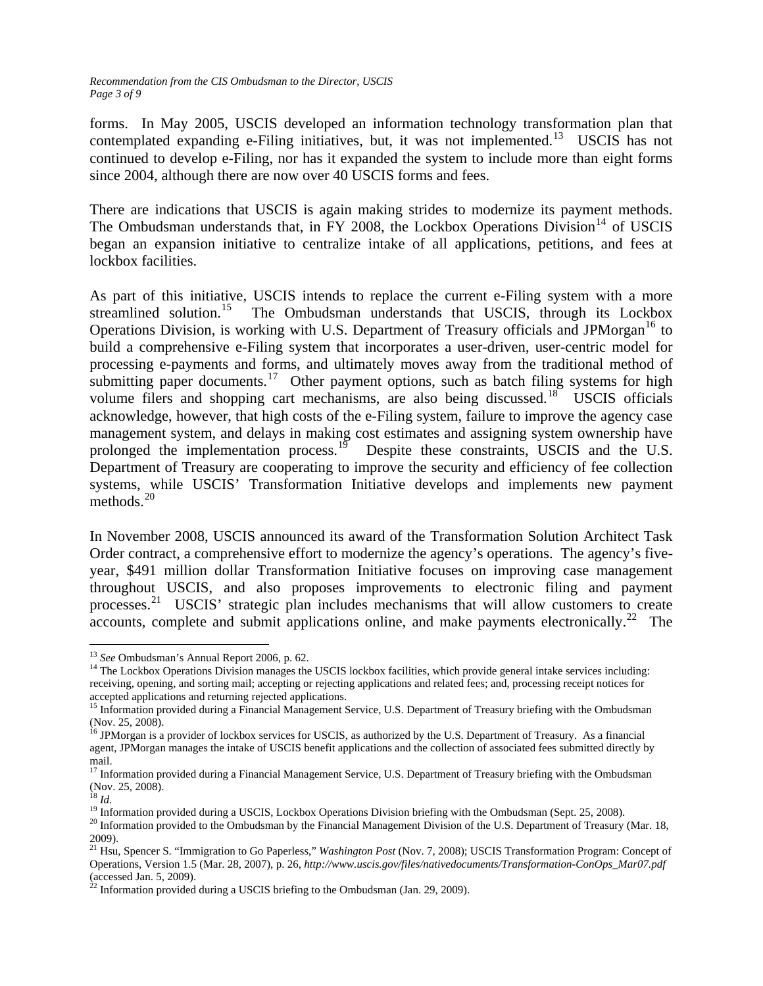*Recommendation from the CIS Ombudsman to the Director, USCIS Page 3 of 9* 

forms. In May 2005, USCIS developed an information technology transformation plan that contemplated expanding e-Filing initiatives, but, it was not implemented.<sup>[13](#page-2-0)</sup> USCIS has not continued to develop e-Filing, nor has it expanded the system to include more than eight forms since 2004, although there are now over 40 USCIS forms and fees.

There are indications that USCIS is again making strides to modernize its payment methods. The Ombudsman understands that, in FY 2008, the Lockbox Operations Division<sup>[14](#page-2-1)</sup> of USCIS began an expansion initiative to centralize intake of all applications, petitions, and fees at lockbox facilities.

As part of this initiative, USCIS intends to replace the current e-Filing system with a more streamlined solution.<sup>[15](#page-2-2)</sup> The Ombudsman understands that USCIS, through its Lockbox Operations Division, is working with U.S. Department of Treasury officials and JPMorgan<sup>[16](#page-2-3)</sup> to build a comprehensive e-Filing system that incorporates a user-driven, user-centric model for processing e-payments and forms, and ultimately moves away from the traditional method of submitting paper documents.<sup>[17](#page-2-4)</sup> Other payment options, such as batch filing systems for high volume filers and shopping cart mechanisms, are also being discussed.<sup>[18](#page-2-5)</sup> USCIS officials acknowledge, however, that high costs of the e-Filing system, failure to improve the agency case management system, and delays in making cost estimates and assigning system ownership have prolonged the implementation process.<sup>[19](#page-2-6)</sup> Despite these constraints, USCIS and the U.S. Department of Treasury are cooperating to improve the security and efficiency of fee collection systems, while USCIS' Transformation Initiative develops and implements new payment methods. $^{20}$  $^{20}$  $^{20}$ 

In November 2008, USCIS announced its award of the Transformation Solution Architect Task Order contract, a comprehensive effort to modernize the agency's operations. The agency's fiveyear, \$491 million dollar Transformation Initiative focuses on improving case management throughout USCIS, and also proposes improvements to electronic filing and payment processes. [21](#page-2-8) USCIS' strategic plan includes mechanisms that will allow customers to create accounts, complete and submit applications online, and make payments electronically.<sup>[22](#page-2-9)</sup> The

<span id="page-2-0"></span><sup>&</sup>lt;sup>13</sup> See Ombudsman's Annual Report 2006, p. 62.

<span id="page-2-1"></span><sup>&</sup>lt;sup>14</sup> The Lockbox Operations Division manages the USCIS lockbox facilities, which provide general intake services including: receiving, opening, and sorting mail; accepting or rejecting applications and related fees; and, processing receipt notices for accepted applications and returning rejected applications.<br><sup>15</sup> Information provided during a Financial Management Service, U.S. Department of Treasury briefing with the Ombudsman

<span id="page-2-2"></span><sup>(</sup>Nov. 25, 2008).

<span id="page-2-3"></span><sup>&</sup>lt;sup>16</sup> JPMorgan is a provider of lockbox services for USCIS, as authorized by the U.S. Department of Treasury. As a financial agent, JPMorgan manages the intake of USCIS benefit applications and the collection of associated fees submitted directly by mail.

<span id="page-2-4"></span><sup>&</sup>lt;sup>17</sup> Information provided during a Financial Management Service, U.S. Department of Treasury briefing with the Ombudsman (Nov. 25, 2008).<br><sup>18</sup> *Id.* 

<span id="page-2-7"></span><span id="page-2-6"></span><span id="page-2-5"></span><sup>&</sup>lt;sup>19</sup> Information provided during a USCIS, Lockbox Operations Division briefing with the Ombudsman (Sept. 25, 2008).<br><sup>20</sup> Information provided to the Ombudsman by the Financial Management Division of the U.S. Department of 2009).

<span id="page-2-8"></span><sup>21</sup> Hsu, Spencer S. "Immigration to Go Paperless," *Washington Post* (Nov. 7, 2008); USCIS Transformation Program: Concept of Operations, Version 1.5 (Mar. 28, 2007), p. 26, *[http://www.uscis.gov/files/nativedocuments/Transformation-ConOps\\_Mar07.pdf](http://www.uscis.gov/files/nativedocuments/Transformation-ConOps_Mar07.pdf)* (accessed Jan. 5, 2009).

<span id="page-2-9"></span> $^{22}$  Information provided during a USCIS briefing to the Ombudsman (Jan. 29, 2009).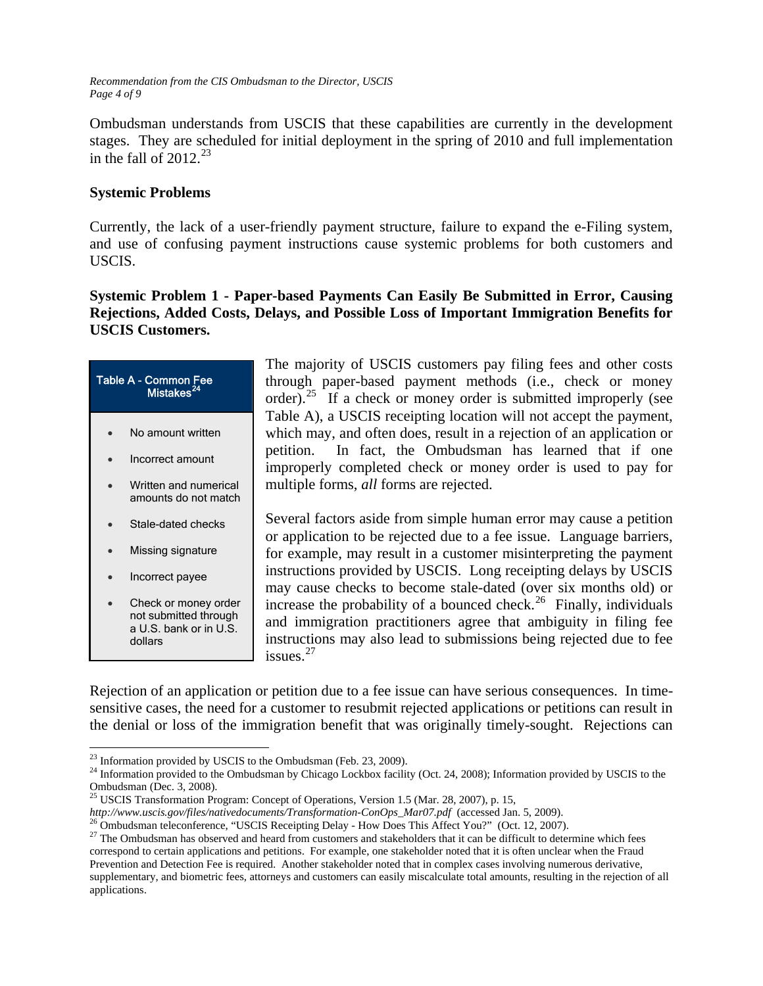*Recommendation from the CIS Ombudsman to the Director, USCIS Page 4 of 9* 

Ombudsman understands from USCIS that these capabilities are currently in the development stages. They are scheduled for initial deployment in the spring of 2010 and full implementation in the fall of  $2012^{23}$  $2012^{23}$  $2012^{23}$ 

### **Systemic Problems**

Currently, the lack of a user-friendly payment structure, failure to expand the e-Filing system, and use of confusing payment instructions cause systemic problems for both customers and USCIS.

**Systemic Problem 1 - Paper-based Payments Can Easily Be Submitted in Error, Causing Rejections, Added Costs, Delays, and Possible Loss of Important Immigration Benefits for USCIS Customers.**

| Table A - Common Fee<br>Mistakes <sup>24</sup> |                                                                         |  |  |
|------------------------------------------------|-------------------------------------------------------------------------|--|--|
|                                                | No amount written                                                       |  |  |
|                                                | Incorrect amount                                                        |  |  |
|                                                | Written and numerical<br>amounts do not match                           |  |  |
|                                                | Stale-dated checks                                                      |  |  |
|                                                | Missing signature                                                       |  |  |
|                                                | Incorrect payee                                                         |  |  |
|                                                | Check or money order<br>not submitted through<br>a U.S. bank or in U.S. |  |  |

dollars

The majority of USCIS customers pay filing fees and other costs through paper-based payment methods (i.e., check or money order).<sup>[25](#page-3-2)</sup> If a check or money order is submitted improperly (see Table A), a USCIS receipting location will not accept the payment, which may, and often does, result in a rejection of an application or petition. In fact, the Ombudsman has learned that if one improperly completed check or money order is used to pay for multiple forms, *all* forms are rejected.

Several factors aside from simple human error may cause a petition or application to be rejected due to a fee issue. Language barriers, for example, may result in a customer misinterpreting the payment instructions provided by USCIS. Long receipting delays by USCIS may cause checks to become stale-dated (over six months old) or increase the probability of a bounced check.<sup>[26](#page-3-3)</sup> Finally, individuals and immigration practitioners agree that ambiguity in filing fee instructions may also lead to submissions being rejected due to fee issues.[27](#page-3-4)

Rejection of an application or petition due to a fee issue can have serious consequences. In timesensitive cases, the need for a customer to resubmit rejected applications or petitions can result in the denial or loss of the immigration benefit that was originally timely-sought. Rejections can

<span id="page-3-0"></span><sup>&</sup>lt;sup>23</sup> Information provided by USCIS to the Ombudsman (Feb. 23, 2009).

<span id="page-3-1"></span> $^{24}$  Information provided to the Ombudsman by Chicago Lockbox facility (Oct. 24, 2008); Information provided by USCIS to the Ombudsman (Dec. 3, 2008).

<sup>&</sup>lt;sup>25</sup> USCIS Transformation Program: Concept of Operations, Version 1.5 (Mar. 28, 2007), p. 15,

<span id="page-3-3"></span><span id="page-3-2"></span>*http://www.uscis.gov/files/nativedocuments/Transformation-ConOps\_Mar07.pdf* (accessed Jan. 5, 2009).<br><sup>26</sup> Ombudsman teleconference, "USCIS Receipting Delay - How Does This Affect You?" (Oct. 12, 2007).

<span id="page-3-4"></span> $27$  The Ombudsman has observed and heard from customers and stakeholders that it can be difficult to determine which fees correspond to certain applications and petitions. For example, one stakeholder noted that it is often unclear when the Fraud Prevention and Detection Fee is required. Another stakeholder noted that in complex cases involving numerous derivative, supplementary, and biometric fees, attorneys and customers can easily miscalculate total amounts, resulting in the rejection of all applications.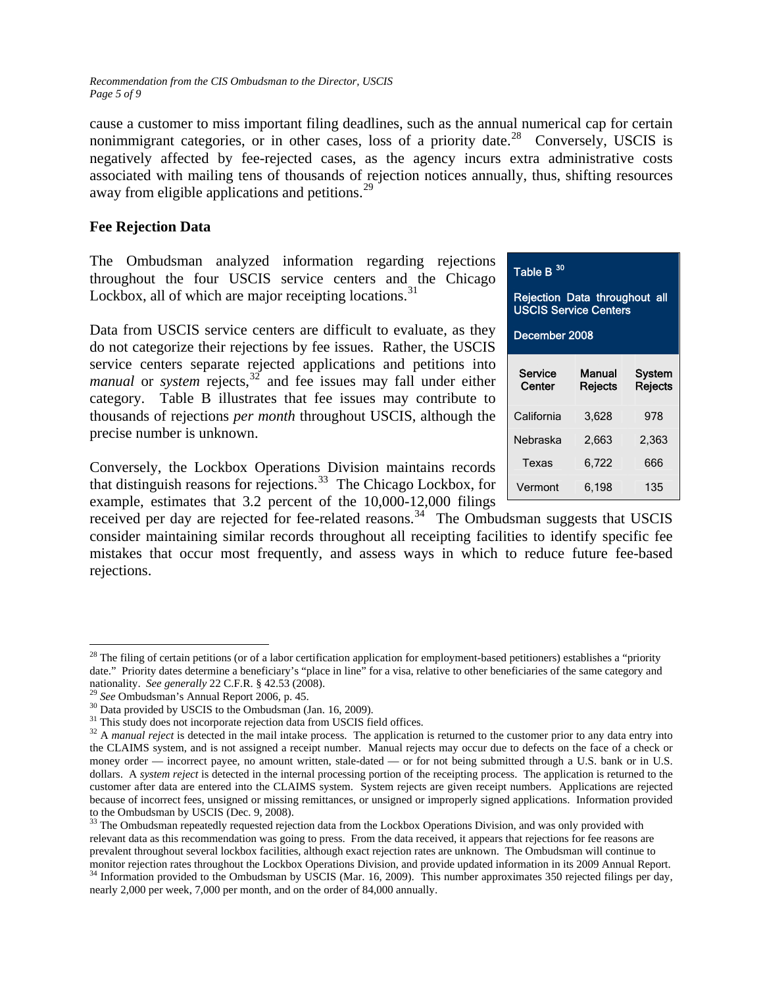*Recommendation from the CIS Ombudsman to the Director, USCIS Page 5 of 9* 

cause a customer to miss important filing deadlines, such as the annual numerical cap for certain nonimmigrant categories, or in other cases, loss of a priority date.<sup>[28](#page-4-0)</sup> Conversely, USCIS is negatively affected by fee-rejected cases, as the agency incurs extra administrative costs associated with mailing tens of thousands of rejection notices annually, thus, shifting resources away from eligible applications and petitions.<sup>[29](#page-4-1)</sup>

### **Fee Rejection Data**

The Ombudsman analyzed information regarding rejections throughout the four USCIS service centers and the Chicago Lockbox, all of which are major receipting locations.  $31$ 

Data from USCIS service centers are difficult to evaluate, as they **December 2008** do not categorize their rejections by fee issues. Rather, the USCIS service centers separate rejected applications and petitions into *manual* or *system* rejects,<sup>[32](#page-4-4)</sup> and fee issues may fall under either category. Table B illustrates that fee issues may contribute to thousands of rejections *per month* throughout USCIS, although the precise number is unknown.

Conversely, the Lockbox Operations Division maintains records that distinguish reasons for rejections.<sup>[33](#page-4-5)</sup> The Chicago Lockbox, for example, estimates that 3.2 percent of the 10,000-12,000 filings

received per day are rejected for fee-related reasons.<sup>[34](#page-4-6)</sup> The Ombudsman suggests that USCIS consider maintaining similar records throughout all receipting facilities to identify specific fee mistakes that occur most frequently, and assess ways in which to reduce future fee-based rejections.

 $\overline{a}$ 

| Table B $^{30}$ |  |
|-----------------|--|
|-----------------|--|

Rejection Data throughout all USCIS Service Centers

| Service<br>Center | Manual<br>Rejects | System<br><b>Rejects</b> |
|-------------------|-------------------|--------------------------|
| California        | 3,628             | 978                      |
| Nebraska          | 2,663             | 2,363                    |
| Texas             | 6,722             | 666                      |
| Vermont           | 6,198             | 135                      |

<span id="page-4-0"></span> $28$  The filing of certain petitions (or of a labor certification application for employment-based petitioners) establishes a "priority date." Priority dates determine a beneficiary's "place in line" for a visa, relative to other beneficiaries of the same category and nationality. *See generally* 22 C.F.R. § 42.53 (2008).<br><sup>29</sup> *See* Ombudsman's Annual Report 2006, p. 45.<br><sup>30</sup> Data provided by USCIS to the Ombudsman (Jan. 16, 2009).<br><sup>31</sup> This study does not incorporate rejection data fro

<span id="page-4-1"></span>

<span id="page-4-2"></span>

<span id="page-4-4"></span><span id="page-4-3"></span><sup>&</sup>lt;sup>32</sup> A *manual reject* is detected in the mail intake process. The application is returned to the customer prior to any data entry into the CLAIMS system, and is not assigned a receipt number. Manual rejects may occur due to defects on the face of a check or money order — incorrect payee, no amount written, stale-dated — or for not being submitted through a U.S. bank or in U.S. dollars. A *system reject* is detected in the internal processing portion of the receipting process. The application is returned to the customer after data are entered into the CLAIMS system. System rejects are given receipt numbers. Applications are rejected because of incorrect fees, unsigned or missing remittances, or unsigned or improperly signed applications. Information provided to the Ombudsman by USCIS (Dec. 9, 2008).

<span id="page-4-5"></span><sup>&</sup>lt;sup>33</sup> The Ombudsman repeatedly requested rejection data from the Lockbox Operations Division, and was only provided with relevant data as this recommendation was going to press. From the data received, it appears that rejections for fee reasons are prevalent throughout several lockbox facilities, although exact rejection rates are unknown. The Ombudsman will continue to

<span id="page-4-6"></span>monitor rejection rates throughout the Lockbox Operations Division, and provide updated information in its 2009 Annual Report.<br><sup>34</sup> Information provided to the Ombudsman by USCIS (Mar. 16, 2009). This number approximates 3 nearly 2,000 per week, 7,000 per month, and on the order of 84,000 annually.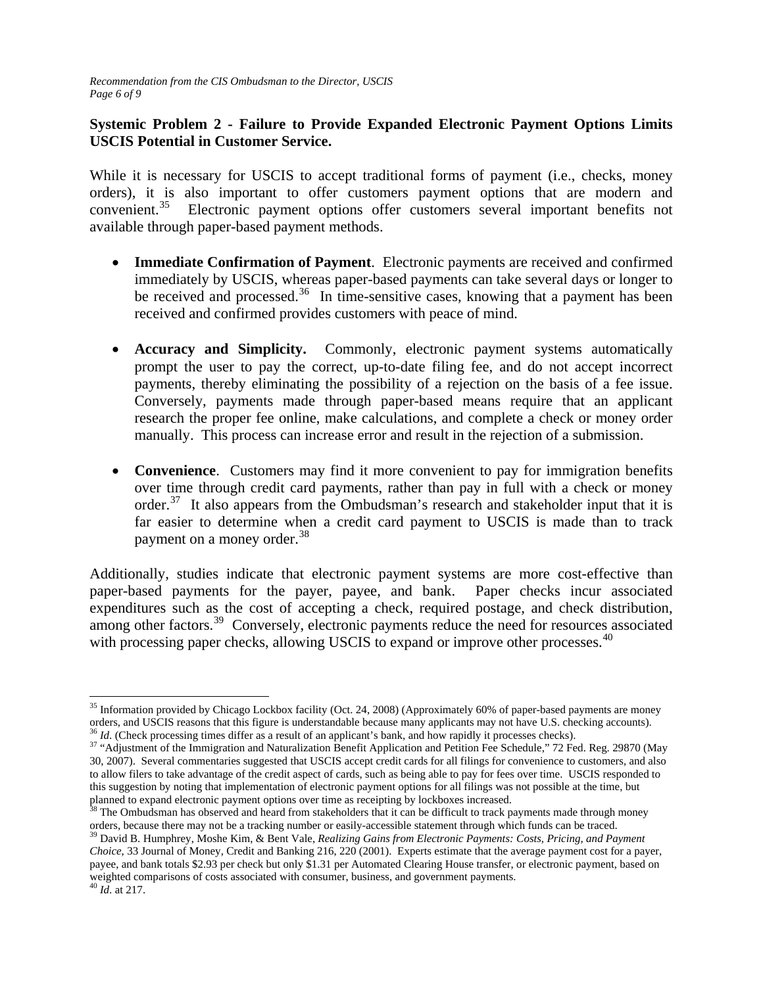# **Systemic Problem 2 - Failure to Provide Expanded Electronic Payment Options Limits USCIS Potential in Customer Service.**

While it is necessary for USCIS to accept traditional forms of payment (i.e., checks, money orders), it is also important to offer customers payment options that are modern and convenient.<sup>[35](#page-5-0)</sup> Electronic payment options offer customers several important benefits not available through paper-based payment methods.

- **Immediate Confirmation of Payment**. Electronic payments are received and confirmed immediately by USCIS, whereas paper-based payments can take several days or longer to be received and processed.<sup>[36](#page-5-1)</sup> In time-sensitive cases, knowing that a payment has been received and confirmed provides customers with peace of mind.
- **Accuracy and Simplicity.** Commonly, electronic payment systems automatically prompt the user to pay the correct, up-to-date filing fee, and do not accept incorrect payments, thereby eliminating the possibility of a rejection on the basis of a fee issue. Conversely, payments made through paper-based means require that an applicant research the proper fee online, make calculations, and complete a check or money order manually. This process can increase error and result in the rejection of a submission.
- **Convenience**. Customers may find it more convenient to pay for immigration benefits over time through credit card payments, rather than pay in full with a check or money order.<sup>[37](#page-5-2)</sup> It also appears from the Ombudsman's research and stakeholder input that it is far easier to determine when a credit card payment to USCIS is made than to track payment on a money order.<sup>[38](#page-5-3)</sup>

Additionally, studies indicate that electronic payment systems are more cost-effective than paper-based payments for the payer, payee, and bank. Paper checks incur associated expenditures such as the cost of accepting a check, required postage, and check distribution, among other factors.<sup>[39](#page-5-4)</sup> Conversely, electronic payments reduce the need for resources associated with processing paper checks, allowing USCIS to expand or improve other processes.<sup>[40](#page-5-5)</sup>

<span id="page-5-0"></span> $\overline{a}$  $35$  Information provided by Chicago Lockbox facility (Oct. 24, 2008) (Approximately 60% of paper-based payments are money orders, and USCIS reasons that this figure is understandable because many applicants may not have U.S. checking accounts).<br><sup>36</sup> *Id.* (Check processing times differ as a result of an applicant's bank, and how rapidly it pr

<span id="page-5-2"></span><span id="page-5-1"></span><sup>30, 2007).</sup> Several commentaries suggested that USCIS accept credit cards for all filings for convenience to customers, and also to allow filers to take advantage of the credit aspect of cards, such as being able to pay for fees over time. USCIS responded to this suggestion by noting that implementation of electronic payment options for all filings was not possible at the time, but planned to expand electronic payment options over time as receipting by lockboxes increased.<br><sup>38</sup> The Ombudsman has observed and heard from stakeholders that it can be difficult to track payments made through money

<span id="page-5-3"></span>orders, because there may not be a tracking number or easily-accessible statement through which funds can be traced.<br><sup>39</sup> David B. Humphrey, Moshe Kim, & Bent Vale, *Realizing Gains from Electronic Payments: Costs, Pricing* 

<span id="page-5-5"></span><span id="page-5-4"></span>*Choice*, 33 Journal of Money, Credit and Banking 216, 220 (2001). Experts estimate that the average payment cost for a payer, payee, and bank totals \$2.93 per check but only \$1.31 per Automated Clearing House transfer, or electronic payment, based on weighted comparisons of costs associated with consumer, business, and government payments. 40 *Id*. at 217.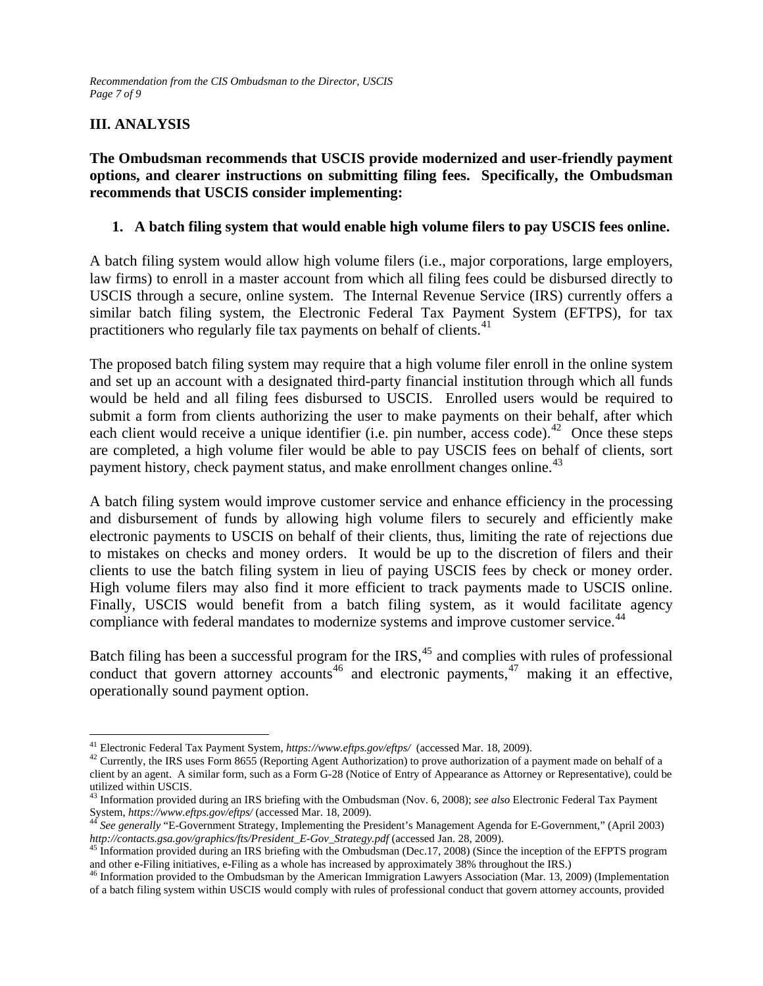# **III. ANALYSIS**

**The Ombudsman recommends that USCIS provide modernized and user-friendly payment options, and clearer instructions on submitting filing fees. Specifically, the Ombudsman recommends that USCIS consider implementing:** 

### **1. A batch filing system that would enable high volume filers to pay USCIS fees online.**

A batch filing system would allow high volume filers (i.e., major corporations, large employers, law firms) to enroll in a master account from which all filing fees could be disbursed directly to USCIS through a secure, online system. The Internal Revenue Service (IRS) currently offers a similar batch filing system, the Electronic Federal Tax Payment System (EFTPS), for tax practitioners who regularly file tax payments on behalf of clients.<sup>41</sup>

The proposed batch filing system may require that a high volume filer enroll in the online system and set up an account with a designated third-party financial institution through which all funds would be held and all filing fees disbursed to USCIS. Enrolled users would be required to submit a form from clients authorizing the user to make payments on their behalf, after which each client would receive a unique identifier (i.e. pin number, access code).<sup>[42](#page-6-1)</sup> Once these steps are completed, a high volume filer would be able to pay USCIS fees on behalf of clients, sort payment history, check payment status, and make enrollment changes online.<sup>[43](#page-6-2)</sup>

A batch filing system would improve customer service and enhance efficiency in the processing and disbursement of funds by allowing high volume filers to securely and efficiently make electronic payments to USCIS on behalf of their clients, thus, limiting the rate of rejections due to mistakes on checks and money orders. It would be up to the discretion of filers and their clients to use the batch filing system in lieu of paying USCIS fees by check or money order. High volume filers may also find it more efficient to track payments made to USCIS online. Finally, USCIS would benefit from a batch filing system, as it would facilitate agency compliance with federal mandates to modernize systems and improve customer service.<sup>[44](#page-6-3)</sup>

Batch filing has been a successful program for the  $\text{IRS},^{45}$  $\text{IRS},^{45}$  $\text{IRS},^{45}$  and complies with rules of professional conduct that govern attorney accounts<sup>[46](#page-6-5)</sup> and electronic payments,  $47$  making it an effective, operationally sound payment option.

<span id="page-6-0"></span><sup>&</sup>lt;sup>41</sup> Electronic Federal Tax Payment System, https://www.eftps.gov/eftps/ (accessed Mar. 18, 2009).

<span id="page-6-1"></span><sup>&</sup>lt;sup>42</sup>Currently, the IRS uses Form 8655 (Reporting Agent Authorization) to prove authorization of a payment made on behalf of a client by an agent. A similar form, such as a Form G-28 (Notice of Entry of Appearance as Attorney or Representative), could be utilized within USCIS.

<span id="page-6-2"></span><sup>43</sup> Information provided during an IRS briefing with the Ombudsman (Nov. 6, 2008); *see also* Electronic Federal Tax Payment System,*https://www.eftps.gov/eftps/* (accessed Mar. 18, 2009).<br><sup>44</sup> See generally "E-Government Strategy, Implementing the President's Management Agenda for E-Government," (April 2003)

<span id="page-6-3"></span>*http://contacts.gsa.gov/graphics/fts/President\_E-Gov\_Strategy.pdf* (accessed Jan. 28, 2009). [45](http://contacts.gsa.gov/graphics/fts/President_E-Gov_Strategy.pdf) Information provided during an IRS briefing with the Ombudsman (Dec.17, 2008) (Since the inception of the EFPTS program

<span id="page-6-4"></span>and other e-Filing initiatives, e-Filing as a whole has increased by approximately 38% throughout the IRS.)<br><sup>46</sup> Information provided to the Ombudsman by the American Immigration Lawyers Association (Mar. 13, 2009) (Implem

<span id="page-6-5"></span>of a batch filing system within USCIS would comply with rules of professional conduct that govern attorney accounts, provided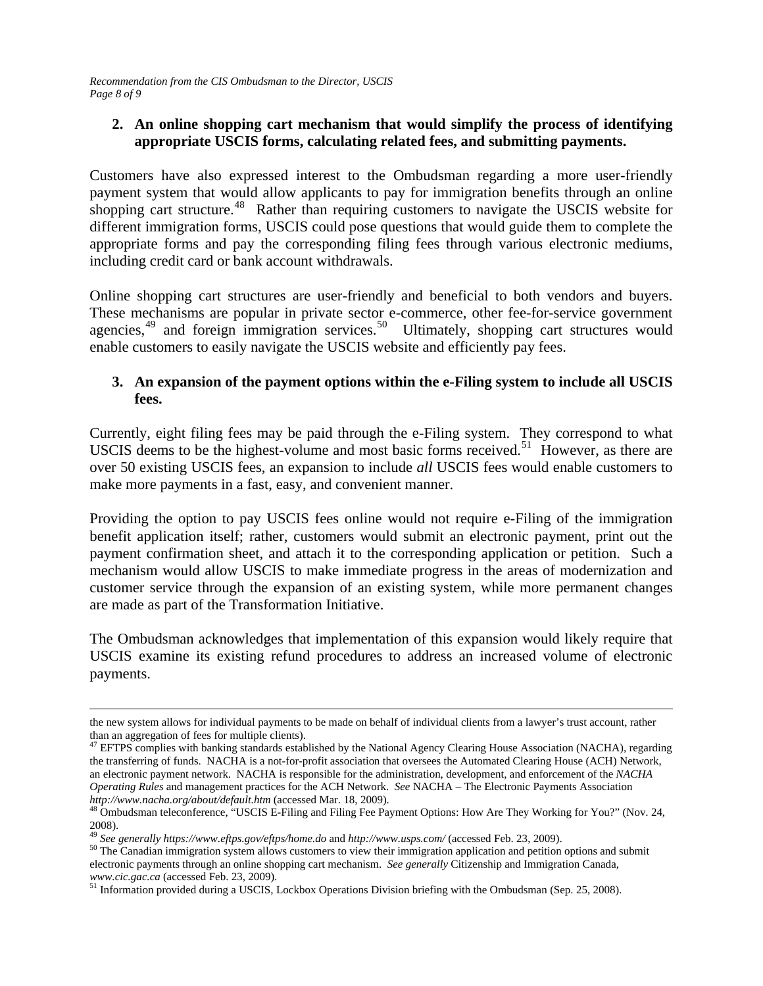*Recommendation from the CIS Ombudsman to the Director, USCIS Page 8 of 9* 

### **2. An online shopping cart mechanism that would simplify the process of identifying appropriate USCIS forms, calculating related fees, and submitting payments.**

Customers have also expressed interest to the Ombudsman regarding a more user-friendly payment system that would allow applicants to pay for immigration benefits through an online shopping cart structure.<sup>[48](#page-7-0)</sup> Rather than requiring customers to navigate the USCIS website for different immigration forms, USCIS could pose questions that would guide them to complete the appropriate forms and pay the corresponding filing fees through various electronic mediums, including credit card or bank account withdrawals.

Online shopping cart structures are user-friendly and beneficial to both vendors and buyers. These mechanisms are popular in private sector e-commerce, other fee-for-service government agencies, $49$  and foreign immigration services. $50$  Ultimately, shopping cart structures would enable customers to easily navigate the USCIS website and efficiently pay fees.

### **3. An expansion of the payment options within the e-Filing system to include all USCIS fees.**

Currently, eight filing fees may be paid through the e-Filing system. They correspond to what USCIS deems to be the highest-volume and most basic forms received.<sup>[51](#page-7-3)</sup> However, as there are over 50 existing USCIS fees, an expansion to include *all* USCIS fees would enable customers to make more payments in a fast, easy, and convenient manner.

Providing the option to pay USCIS fees online would not require e-Filing of the immigration benefit application itself; rather, customers would submit an electronic payment, print out the payment confirmation sheet, and attach it to the corresponding application or petition. Such a mechanism would allow USCIS to make immediate progress in the areas of modernization and customer service through the expansion of an existing system, while more permanent changes are made as part of the Transformation Initiative.

The Ombudsman acknowledges that implementation of this expansion would likely require that USCIS examine its existing refund procedures to address an increased volume of electronic payments.

 $\overline{a}$ 

the new system allows for individual payments to be made on behalf of individual clients from a lawyer's trust account, rather than an aggregation of fees for multiple clients).

<sup>&</sup>lt;sup>47</sup> EFTPS complies with banking standards established by the National Agency Clearing House Association (NACHA), regarding the transferring of funds. NACHA is a not-for-profit association that oversees the Automated Clearing House (ACH) Network, an electronic payment network. NACHA is responsible for the administration, development, and enforcement of the *NACHA Operating Rules* and management practices for the ACH Network. *See* NACHA – The Electronic Payments Association http://www.nacha.org/about/default.htm (accessed Mar. 18, 2009).

<span id="page-7-0"></span>*http://www.nacha.org/about/default.generality.generality.html* (accessed Marg. 18, 2009). [48](http://www.nacha.org/about/default.htm) Ombudsman teleconference, "USCIS E-Filing and Filing Fee Payment Options: How Are They Working for You?" (Nov. 24, 2008).<br><sup>49</sup> See generally https://www.eftps.gov/eftps/home.do and http://www.usps.com/ (accessed Feb. 23, 2009).

<span id="page-7-1"></span>

<span id="page-7-2"></span><sup>&</sup>lt;sup>50</sup> The Canadian immigration system allows customers to view their immigration application and petition options and submit electronic payments through an online shopping cart mechanism. *See generally* Citizenship and Immigration Canada, *www.cic.gac.ca*(accessed Feb. 23, 2009). [51](http://www.cic.gac.ca/) Information provided during a USCIS, Lockbox Operations Division briefing with the Ombudsman (Sep. 25, 2008).

<span id="page-7-3"></span>